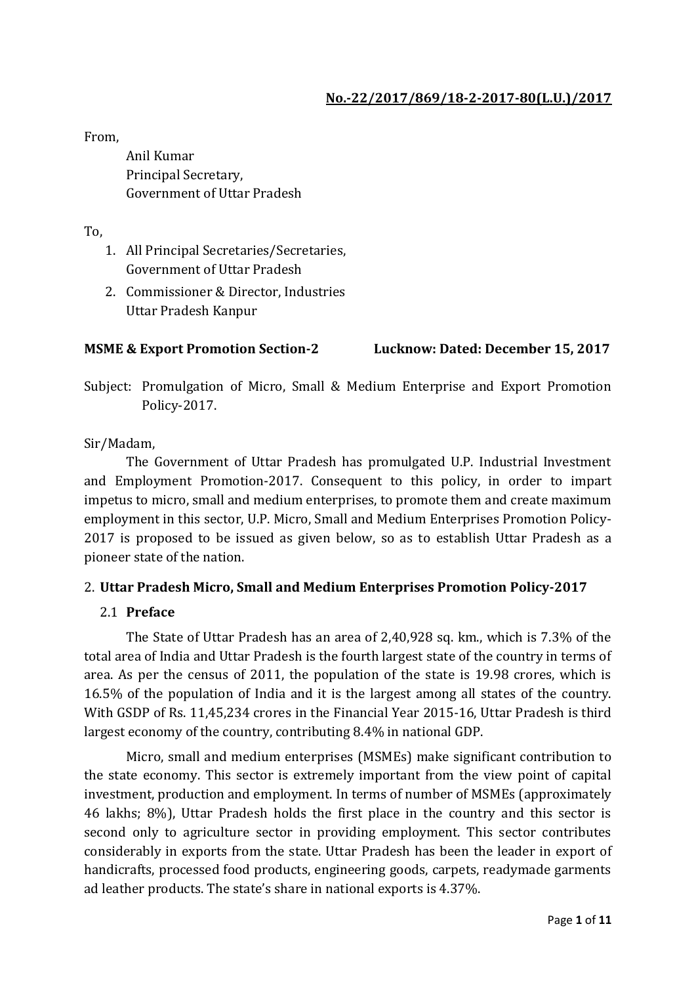## **No.-22/2017/869/18-2-2017-80(L.U.)/2017**

From,

Anil Kumar Principal Secretary, Government of Uttar Pradesh

To,

- 1. All Principal Secretaries/Secretaries, Government of Uttar Pradesh
- 2. Commissioner & Director, Industries Uttar Pradesh Kanpur

#### **MSME & Export Promotion Section-2 Lucknow: Dated: December 15, 2017**

Subject: Promulgation of Micro, Small & Medium Enterprise and Export Promotion Policy-2017.

#### Sir/Madam,

The Government of Uttar Pradesh has promulgated U.P. Industrial Investment and Employment Promotion-2017. Consequent to this policy, in order to impart impetus to micro, small and medium enterprises, to promote them and create maximum employment in this sector, U.P. Micro, Small and Medium Enterprises Promotion Policy-2017 is proposed to be issued as given below, so as to establish Uttar Pradesh as a pioneer state of the nation.

#### 2. **Uttar Pradesh Micro, Small and Medium Enterprises Promotion Policy-2017**

#### 2.1 **Preface**

The State of Uttar Pradesh has an area of 2,40,928 sq. km., which is 7.3% of the total area of India and Uttar Pradesh is the fourth largest state of the country in terms of area. As per the census of 2011, the population of the state is 19.98 crores, which is 16.5% of the population of India and it is the largest among all states of the country. With GSDP of Rs. 11,45,234 crores in the Financial Year 2015-16, Uttar Pradesh is third largest economy of the country, contributing 8.4% in national GDP.

Micro, small and medium enterprises (MSMEs) make significant contribution to the state economy. This sector is extremely important from the view point of capital investment, production and employment. In terms of number of MSMEs (approximately 46 lakhs; 8%), Uttar Pradesh holds the first place in the country and this sector is second only to agriculture sector in providing employment. This sector contributes considerably in exports from the state. Uttar Pradesh has been the leader in export of handicrafts, processed food products, engineering goods, carpets, readymade garments ad leather products. The state's share in national exports is 4.37%.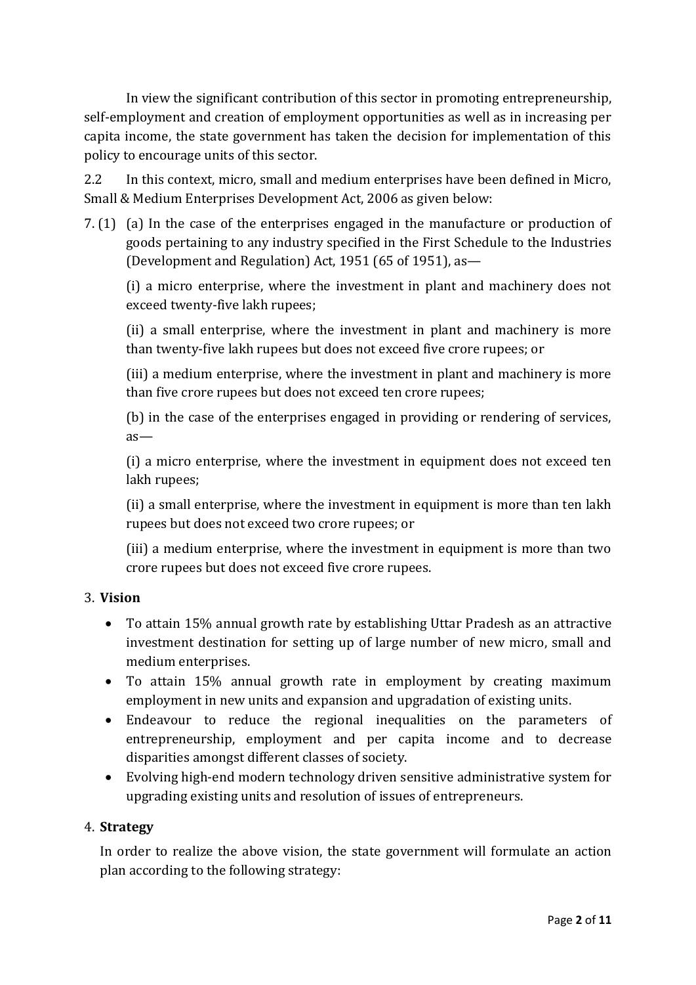In view the significant contribution of this sector in promoting entrepreneurship, self-employment and creation of employment opportunities as well as in increasing per capita income, the state government has taken the decision for implementation of this policy to encourage units of this sector.

2.2 In this context, micro, small and medium enterprises have been defined in Micro, Small & Medium Enterprises Development Act, 2006 as given below:

7. (1) (a) In the case of the enterprises engaged in the manufacture or production of goods pertaining to any industry specified in the First Schedule to the Industries (Development and Regulation) Act, 1951 (65 of 1951), as—

(i) a micro enterprise, where the investment in plant and machinery does not exceed twenty-five lakh rupees;

(ii) a small enterprise, where the investment in plant and machinery is more than twenty-five lakh rupees but does not exceed five crore rupees; or

(iii) a medium enterprise, where the investment in plant and machinery is more than five crore rupees but does not exceed ten crore rupees;

(b) in the case of the enterprises engaged in providing or rendering of services, as—

(i) a micro enterprise, where the investment in equipment does not exceed ten lakh rupees;

(ii) a small enterprise, where the investment in equipment is more than ten lakh rupees but does not exceed two crore rupees; or

(iii) a medium enterprise, where the investment in equipment is more than two crore rupees but does not exceed five crore rupees.

# 3. **Vision**

- To attain 15% annual growth rate by establishing Uttar Pradesh as an attractive investment destination for setting up of large number of new micro, small and medium enterprises.
- To attain 15% annual growth rate in employment by creating maximum employment in new units and expansion and upgradation of existing units.
- Endeavour to reduce the regional inequalities on the parameters of entrepreneurship, employment and per capita income and to decrease disparities amongst different classes of society.
- Evolving high-end modern technology driven sensitive administrative system for upgrading existing units and resolution of issues of entrepreneurs.

# 4. **Strategy**

In order to realize the above vision, the state government will formulate an action plan according to the following strategy: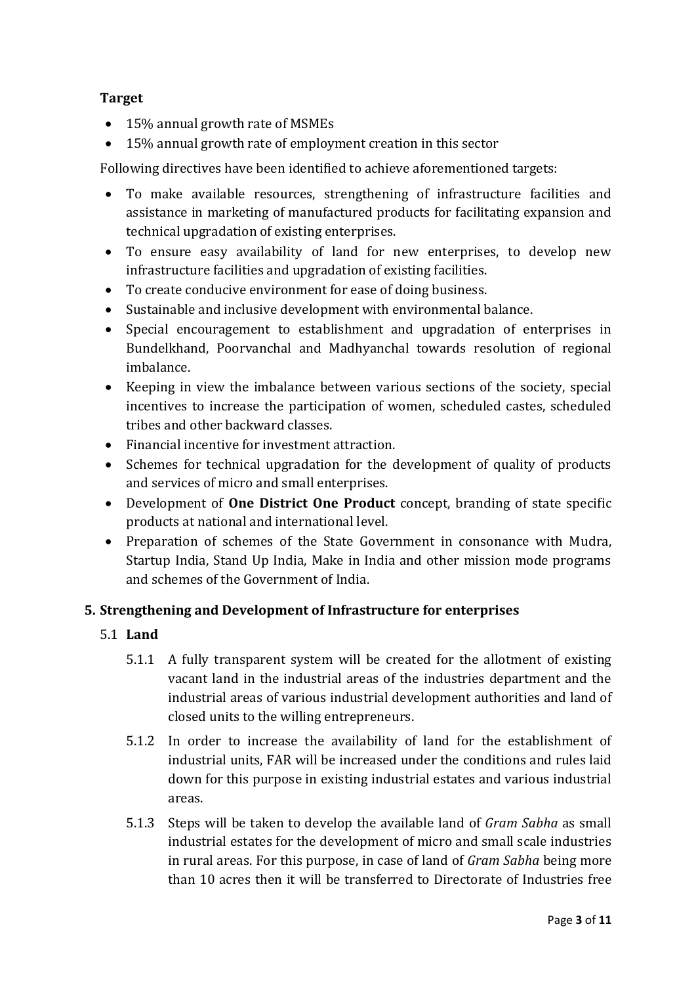## **Target**

- 15% annual growth rate of MSMEs
- 15% annual growth rate of employment creation in this sector

Following directives have been identified to achieve aforementioned targets:

- To make available resources, strengthening of infrastructure facilities and assistance in marketing of manufactured products for facilitating expansion and technical upgradation of existing enterprises.
- To ensure easy availability of land for new enterprises, to develop new infrastructure facilities and upgradation of existing facilities.
- To create conducive environment for ease of doing business.
- Sustainable and inclusive development with environmental balance.
- Special encouragement to establishment and upgradation of enterprises in Bundelkhand, Poorvanchal and Madhyanchal towards resolution of regional imbalance.
- Keeping in view the imbalance between various sections of the society, special incentives to increase the participation of women, scheduled castes, scheduled tribes and other backward classes.
- Financial incentive for investment attraction.
- Schemes for technical upgradation for the development of quality of products and services of micro and small enterprises.
- Development of **One District One Product** concept, branding of state specific products at national and international level.
- Preparation of schemes of the State Government in consonance with Mudra, Startup India, Stand Up India, Make in India and other mission mode programs and schemes of the Government of India.

# **5. Strengthening and Development of Infrastructure for enterprises**

- 5.1 **Land**
	- 5.1.1 A fully transparent system will be created for the allotment of existing vacant land in the industrial areas of the industries department and the industrial areas of various industrial development authorities and land of closed units to the willing entrepreneurs.
	- 5.1.2 In order to increase the availability of land for the establishment of industrial units, FAR will be increased under the conditions and rules laid down for this purpose in existing industrial estates and various industrial areas.
	- 5.1.3 Steps will be taken to develop the available land of *Gram Sabha* as small industrial estates for the development of micro and small scale industries in rural areas. For this purpose, in case of land of *Gram Sabha* being more than 10 acres then it will be transferred to Directorate of Industries free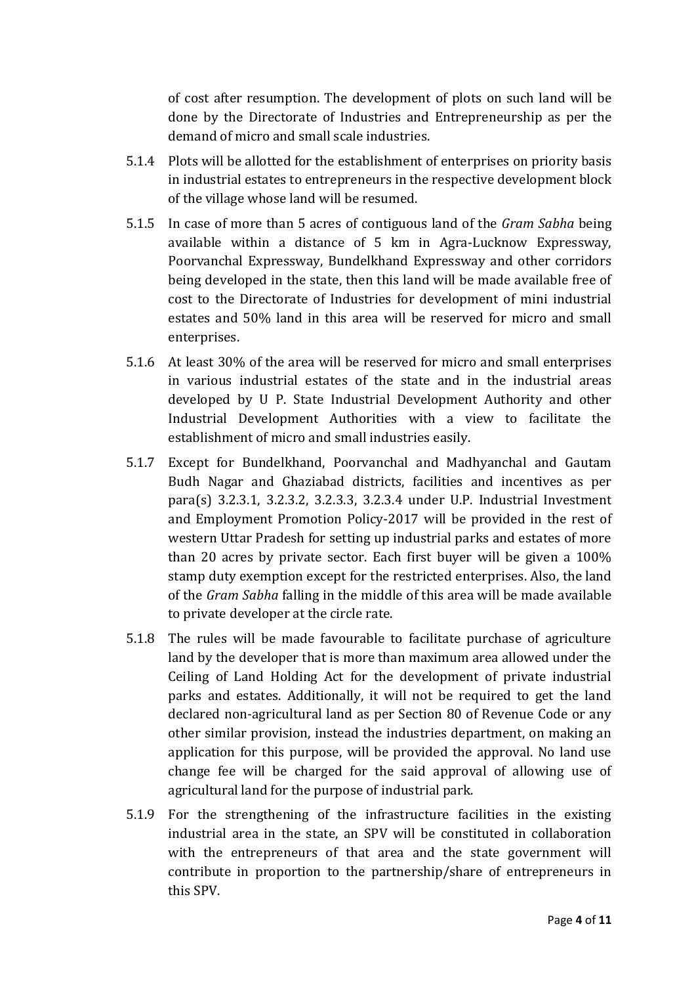of cost after resumption. The development of plots on such land will be done by the Directorate of Industries and Entrepreneurship as per the demand of micro and small scale industries.

- 5.1.4 Plots will be allotted for the establishment of enterprises on priority basis in industrial estates to entrepreneurs in the respective development block of the village whose land will be resumed.
- 5.1.5 In case of more than 5 acres of contiguous land of the *Gram Sabha* being available within a distance of 5 km in Agra-Lucknow Expressway, Poorvanchal Expressway, Bundelkhand Expressway and other corridors being developed in the state, then this land will be made available free of cost to the Directorate of Industries for development of mini industrial estates and 50% land in this area will be reserved for micro and small enterprises.
- 5.1.6 At least 30% of the area will be reserved for micro and small enterprises in various industrial estates of the state and in the industrial areas developed by U P. State Industrial Development Authority and other Industrial Development Authorities with a view to facilitate the establishment of micro and small industries easily.
- 5.1.7 Except for Bundelkhand, Poorvanchal and Madhyanchal and Gautam Budh Nagar and Ghaziabad districts, facilities and incentives as per para(s) 3.2.3.1, 3.2.3.2, 3.2.3.3, 3.2.3.4 under U.P. Industrial Investment and Employment Promotion Policy-2017 will be provided in the rest of western Uttar Pradesh for setting up industrial parks and estates of more than 20 acres by private sector. Each first buyer will be given a 100% stamp duty exemption except for the restricted enterprises. Also, the land of the *Gram Sabha* falling in the middle of this area will be made available to private developer at the circle rate.
- 5.1.8 The rules will be made favourable to facilitate purchase of agriculture land by the developer that is more than maximum area allowed under the Ceiling of Land Holding Act for the development of private industrial parks and estates. Additionally, it will not be required to get the land declared non-agricultural land as per Section 80 of Revenue Code or any other similar provision, instead the industries department, on making an application for this purpose, will be provided the approval. No land use change fee will be charged for the said approval of allowing use of agricultural land for the purpose of industrial park.
- 5.1.9 For the strengthening of the infrastructure facilities in the existing industrial area in the state, an SPV will be constituted in collaboration with the entrepreneurs of that area and the state government will contribute in proportion to the partnership/share of entrepreneurs in this SPV.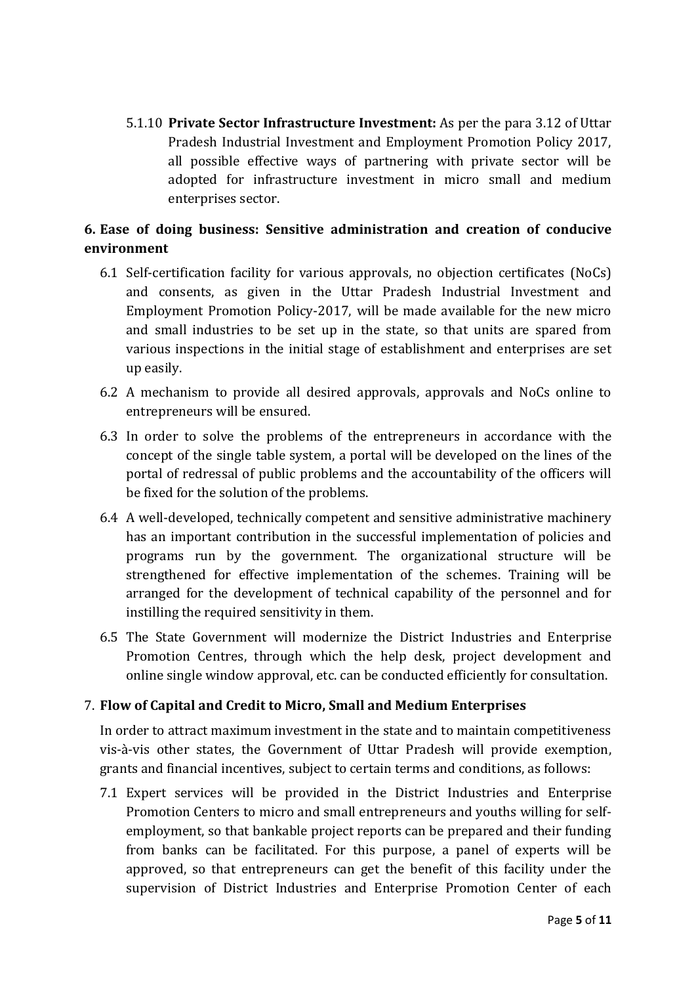5.1.10 **Private Sector Infrastructure Investment:** As per the para 3.12 of Uttar Pradesh Industrial Investment and Employment Promotion Policy 2017, all possible effective ways of partnering with private sector will be adopted for infrastructure investment in micro small and medium enterprises sector.

# **6. Ease of doing business: Sensitive administration and creation of conducive environment**

- 6.1 Self-certification facility for various approvals, no objection certificates (NoCs) and consents, as given in the Uttar Pradesh Industrial Investment and Employment Promotion Policy-2017, will be made available for the new micro and small industries to be set up in the state, so that units are spared from various inspections in the initial stage of establishment and enterprises are set up easily.
- 6.2 A mechanism to provide all desired approvals, approvals and NoCs online to entrepreneurs will be ensured.
- 6.3 In order to solve the problems of the entrepreneurs in accordance with the concept of the single table system, a portal will be developed on the lines of the portal of redressal of public problems and the accountability of the officers will be fixed for the solution of the problems.
- 6.4 A well-developed, technically competent and sensitive administrative machinery has an important contribution in the successful implementation of policies and programs run by the government. The organizational structure will be strengthened for effective implementation of the schemes. Training will be arranged for the development of technical capability of the personnel and for instilling the required sensitivity in them.
- 6.5 The State Government will modernize the District Industries and Enterprise Promotion Centres, through which the help desk, project development and online single window approval, etc. can be conducted efficiently for consultation.

# 7. **Flow of Capital and Credit to Micro, Small and Medium Enterprises**

In order to attract maximum investment in the state and to maintain competitiveness vis-à-vis other states, the Government of Uttar Pradesh will provide exemption, grants and financial incentives, subject to certain terms and conditions, as follows:

7.1 Expert services will be provided in the District Industries and Enterprise Promotion Centers to micro and small entrepreneurs and youths willing for selfemployment, so that bankable project reports can be prepared and their funding from banks can be facilitated. For this purpose, a panel of experts will be approved, so that entrepreneurs can get the benefit of this facility under the supervision of District Industries and Enterprise Promotion Center of each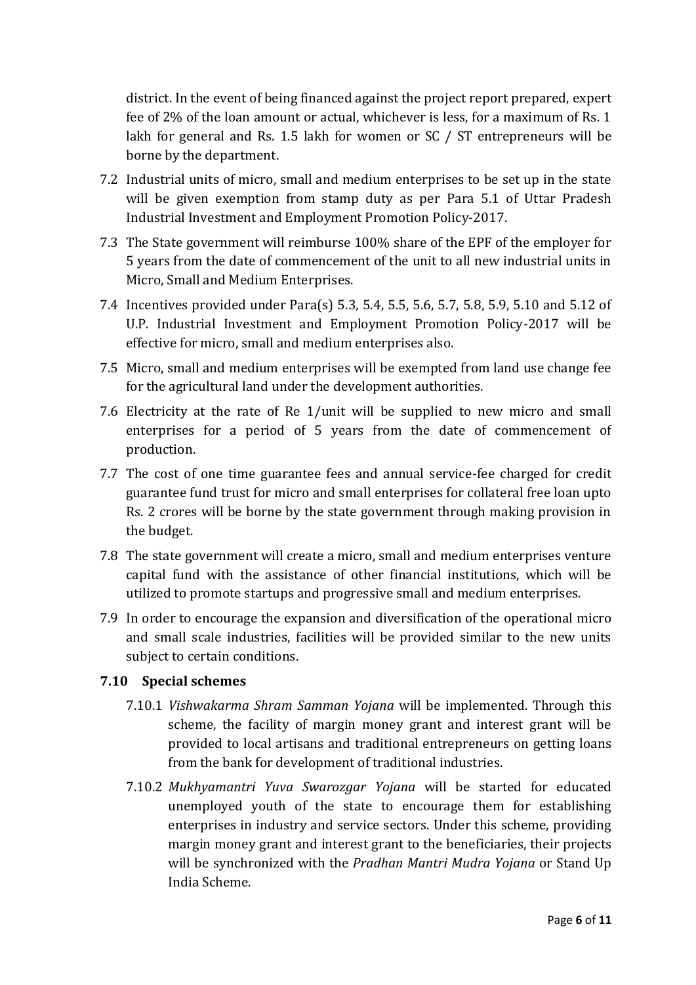district. In the event of being financed against the project report prepared, expert fee of 2% of the loan amount or actual, whichever is less, for a maximum of Rs. 1 lakh for general and Rs. 1.5 lakh for women or SC / ST entrepreneurs will be borne by the department.

- 7.2 Industrial units of micro, small and medium enterprises to be set up in the state will be given exemption from stamp duty as per Para 5.1 of Uttar Pradesh Industrial Investment and Employment Promotion Policy-2017.
- 7.3 The State government will reimburse 100% share of the EPF of the employer for 5 years from the date of commencement of the unit to all new industrial units in Micro, Small and Medium Enterprises.
- 7.4 Incentives provided under Para(s) 5.3, 5.4, 5.5, 5.6, 5.7, 5.8, 5.9, 5.10 and 5.12 of U.P. Industrial Investment and Employment Promotion Policy-2017 will be effective for micro, small and medium enterprises also.
- 7.5 Micro, small and medium enterprises will be exempted from land use change fee for the agricultural land under the development authorities.
- 7.6 Electricity at the rate of Re 1/unit will be supplied to new micro and small enterprises for a period of 5 years from the date of commencement of production.
- 7.7 The cost of one time guarantee fees and annual service-fee charged for credit guarantee fund trust for micro and small enterprises for collateral free loan upto Rs. 2 crores will be borne by the state government through making provision in the budget.
- 7.8 The state government will create a micro, small and medium enterprises venture capital fund with the assistance of other financial institutions, which will be utilized to promote startups and progressive small and medium enterprises.
- 7.9 In order to encourage the expansion and diversification of the operational micro and small scale industries, facilities will be provided similar to the new units subject to certain conditions.

#### **7.10 Special schemes**

- 7.10.1 *Vishwakarma Shram Samman Yojana* will be implemented. Through this scheme, the facility of margin money grant and interest grant will be provided to local artisans and traditional entrepreneurs on getting loans from the bank for development of traditional industries.
- 7.10.2 *Mukhyamantri Yuva Swarozgar Yojana* will be started for educated unemployed youth of the state to encourage them for establishing enterprises in industry and service sectors. Under this scheme, providing margin money grant and interest grant to the beneficiaries, their projects will be synchronized with the *Pradhan Mantri Mudra Yojana* or Stand Up India Scheme.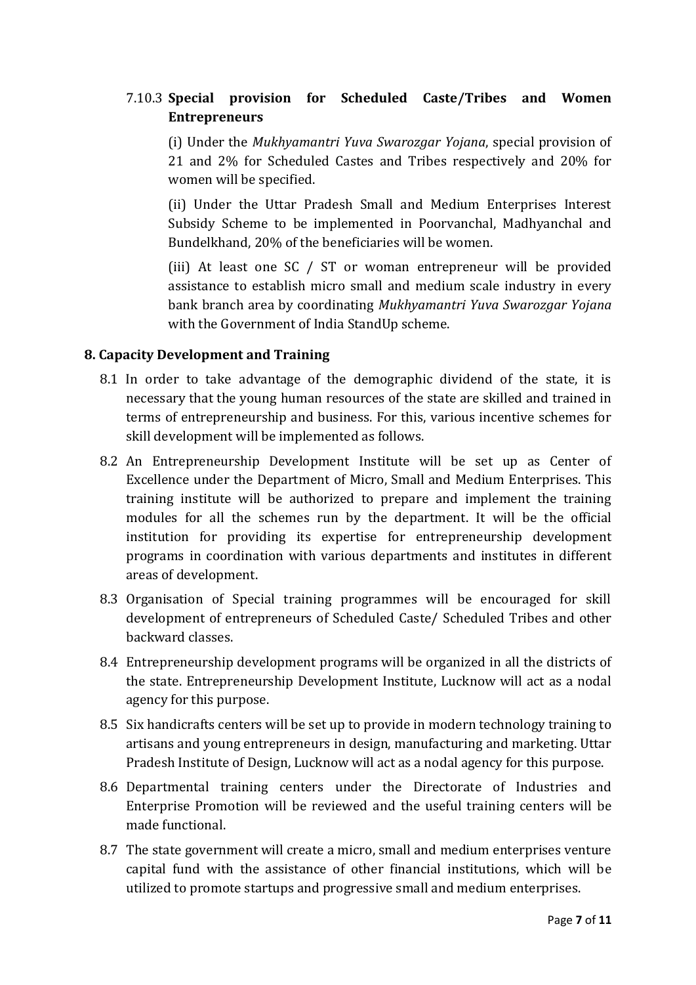# 7.10.3 **Special provision for Scheduled Caste/Tribes and Women Entrepreneurs**

(i) Under the *Mukhyamantri Yuva Swarozgar Yojana*, special provision of 21 and 2% for Scheduled Castes and Tribes respectively and 20% for women will be specified.

(ii) Under the Uttar Pradesh Small and Medium Enterprises Interest Subsidy Scheme to be implemented in Poorvanchal, Madhyanchal and Bundelkhand, 20% of the beneficiaries will be women.

(iii) At least one SC / ST or woman entrepreneur will be provided assistance to establish micro small and medium scale industry in every bank branch area by coordinating *Mukhyamantri Yuva Swarozgar Yojana* with the Government of India StandUp scheme.

#### **8. Capacity Development and Training**

- 8.1 In order to take advantage of the demographic dividend of the state, it is necessary that the young human resources of the state are skilled and trained in terms of entrepreneurship and business. For this, various incentive schemes for skill development will be implemented as follows.
- 8.2 An Entrepreneurship Development Institute will be set up as Center of Excellence under the Department of Micro, Small and Medium Enterprises. This training institute will be authorized to prepare and implement the training modules for all the schemes run by the department. It will be the official institution for providing its expertise for entrepreneurship development programs in coordination with various departments and institutes in different areas of development.
- 8.3 Organisation of Special training programmes will be encouraged for skill development of entrepreneurs of Scheduled Caste/ Scheduled Tribes and other backward classes.
- 8.4 Entrepreneurship development programs will be organized in all the districts of the state. Entrepreneurship Development Institute, Lucknow will act as a nodal agency for this purpose.
- 8.5 Six handicrafts centers will be set up to provide in modern technology training to artisans and young entrepreneurs in design, manufacturing and marketing. Uttar Pradesh Institute of Design, Lucknow will act as a nodal agency for this purpose.
- 8.6 Departmental training centers under the Directorate of Industries and Enterprise Promotion will be reviewed and the useful training centers will be made functional.
- 8.7 The state government will create a micro, small and medium enterprises venture capital fund with the assistance of other financial institutions, which will be utilized to promote startups and progressive small and medium enterprises.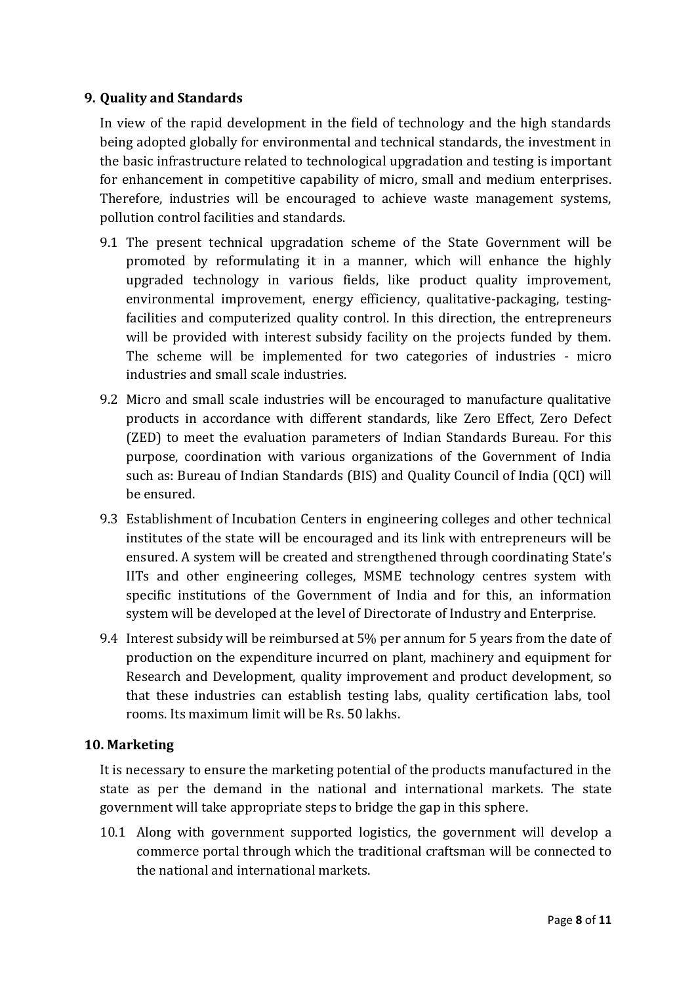## **9. Quality and Standards**

In view of the rapid development in the field of technology and the high standards being adopted globally for environmental and technical standards, the investment in the basic infrastructure related to technological upgradation and testing is important for enhancement in competitive capability of micro, small and medium enterprises. Therefore, industries will be encouraged to achieve waste management systems, pollution control facilities and standards.

- 9.1 The present technical upgradation scheme of the State Government will be promoted by reformulating it in a manner, which will enhance the highly upgraded technology in various fields, like product quality improvement, environmental improvement, energy efficiency, qualitative-packaging, testingfacilities and computerized quality control. In this direction, the entrepreneurs will be provided with interest subsidy facility on the projects funded by them. The scheme will be implemented for two categories of industries - micro industries and small scale industries.
- 9.2 Micro and small scale industries will be encouraged to manufacture qualitative products in accordance with different standards, like Zero Effect, Zero Defect (ZED) to meet the evaluation parameters of Indian Standards Bureau. For this purpose, coordination with various organizations of the Government of India such as: Bureau of Indian Standards (BIS) and Quality Council of India (QCI) will be ensured.
- 9.3 Establishment of Incubation Centers in engineering colleges and other technical institutes of the state will be encouraged and its link with entrepreneurs will be ensured. A system will be created and strengthened through coordinating State's IITs and other engineering colleges, MSME technology centres system with specific institutions of the Government of India and for this, an information system will be developed at the level of Directorate of Industry and Enterprise.
- 9.4 Interest subsidy will be reimbursed at 5% per annum for 5 years from the date of production on the expenditure incurred on plant, machinery and equipment for Research and Development, quality improvement and product development, so that these industries can establish testing labs, quality certification labs, tool rooms. Its maximum limit will be Rs. 50 lakhs.

# **10. Marketing**

It is necessary to ensure the marketing potential of the products manufactured in the state as per the demand in the national and international markets. The state government will take appropriate steps to bridge the gap in this sphere.

10.1 Along with government supported logistics, the government will develop a commerce portal through which the traditional craftsman will be connected to the national and international markets.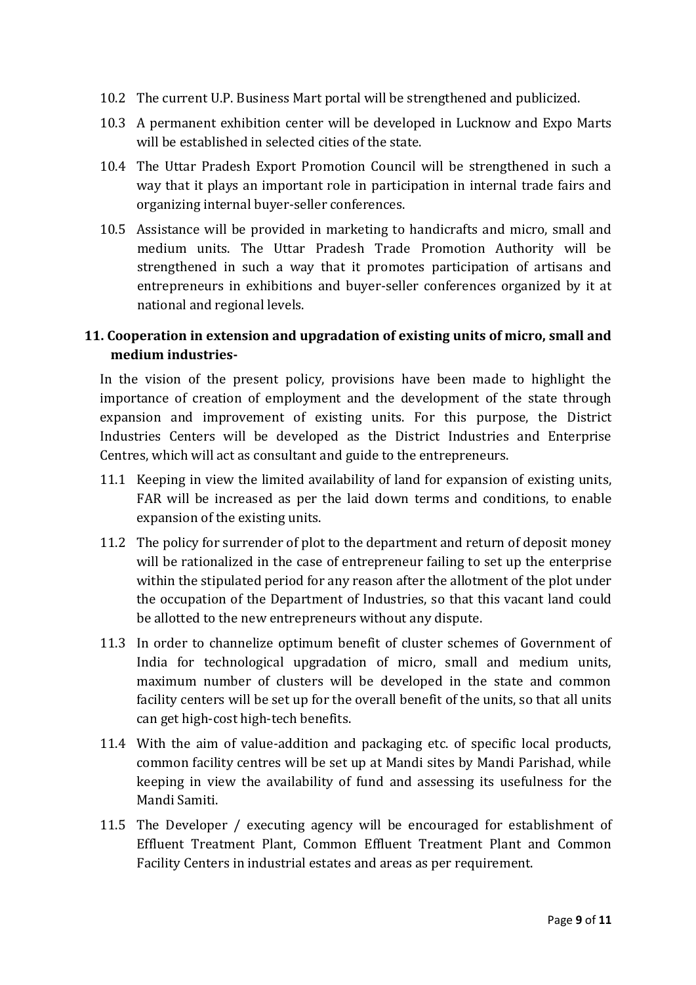- 10.2 The current U.P. Business Mart portal will be strengthened and publicized.
- 10.3 A permanent exhibition center will be developed in Lucknow and Expo Marts will be established in selected cities of the state.
- 10.4 The Uttar Pradesh Export Promotion Council will be strengthened in such a way that it plays an important role in participation in internal trade fairs and organizing internal buyer-seller conferences.
- 10.5 Assistance will be provided in marketing to handicrafts and micro, small and medium units. The Uttar Pradesh Trade Promotion Authority will be strengthened in such a way that it promotes participation of artisans and entrepreneurs in exhibitions and buyer-seller conferences organized by it at national and regional levels.

# **11. Cooperation in extension and upgradation of existing units of micro, small and medium industries-**

In the vision of the present policy, provisions have been made to highlight the importance of creation of employment and the development of the state through expansion and improvement of existing units. For this purpose, the District Industries Centers will be developed as the District Industries and Enterprise Centres, which will act as consultant and guide to the entrepreneurs.

- 11.1 Keeping in view the limited availability of land for expansion of existing units, FAR will be increased as per the laid down terms and conditions, to enable expansion of the existing units.
- 11.2 The policy for surrender of plot to the department and return of deposit money will be rationalized in the case of entrepreneur failing to set up the enterprise within the stipulated period for any reason after the allotment of the plot under the occupation of the Department of Industries, so that this vacant land could be allotted to the new entrepreneurs without any dispute.
- 11.3 In order to channelize optimum benefit of cluster schemes of Government of India for technological upgradation of micro, small and medium units, maximum number of clusters will be developed in the state and common facility centers will be set up for the overall benefit of the units, so that all units can get high-cost high-tech benefits.
- 11.4 With the aim of value-addition and packaging etc. of specific local products, common facility centres will be set up at Mandi sites by Mandi Parishad, while keeping in view the availability of fund and assessing its usefulness for the Mandi Samiti.
- 11.5 The Developer / executing agency will be encouraged for establishment of Effluent Treatment Plant, Common Effluent Treatment Plant and Common Facility Centers in industrial estates and areas as per requirement.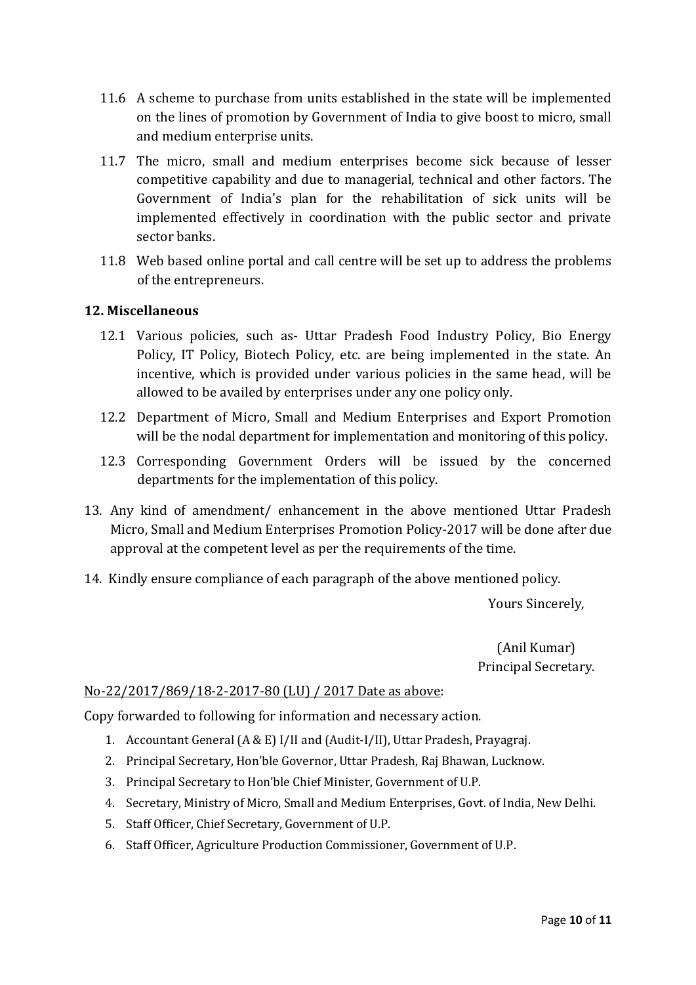- 11.6 A scheme to purchase from units established in the state will be implemented on the lines of promotion by Government of India to give boost to micro, small and medium enterprise units.
- 11.7 The micro, small and medium enterprises become sick because of lesser competitive capability and due to managerial, technical and other factors. The Government of India's plan for the rehabilitation of sick units will be implemented effectively in coordination with the public sector and private sector banks.
- 11.8 Web based online portal and call centre will be set up to address the problems of the entrepreneurs.

## **12. Miscellaneous**

- 12.1 Various policies, such as- Uttar Pradesh Food Industry Policy, Bio Energy Policy, IT Policy, Biotech Policy, etc. are being implemented in the state. An incentive, which is provided under various policies in the same head, will be allowed to be availed by enterprises under any one policy only.
- 12.2 Department of Micro, Small and Medium Enterprises and Export Promotion will be the nodal department for implementation and monitoring of this policy.
- 12.3 Corresponding Government Orders will be issued by the concerned departments for the implementation of this policy.
- 13. Any kind of amendment/ enhancement in the above mentioned Uttar Pradesh Micro, Small and Medium Enterprises Promotion Policy-2017 will be done after due approval at the competent level as per the requirements of the time.
- 14. Kindly ensure compliance of each paragraph of the above mentioned policy.

Yours Sincerely,

(Anil Kumar) Principal Secretary.

#### No-22/2017/869/18-2-2017-80 (LU) / 2017 Date as above:

Copy forwarded to following for information and necessary action.

- 1. Accountant General (A & E) I/II and (Audit-I/II), Uttar Pradesh, Prayagraj.
- 2. Principal Secretary, Hon'ble Governor, Uttar Pradesh, Raj Bhawan, Lucknow.
- 3. Principal Secretary to Hon'ble Chief Minister, Government of U.P.
- 4. Secretary, Ministry of Micro, Small and Medium Enterprises, Govt. of India, New Delhi.
- 5. Staff Officer, Chief Secretary, Government of U.P.
- 6. Staff Officer, Agriculture Production Commissioner, Government of U.P.